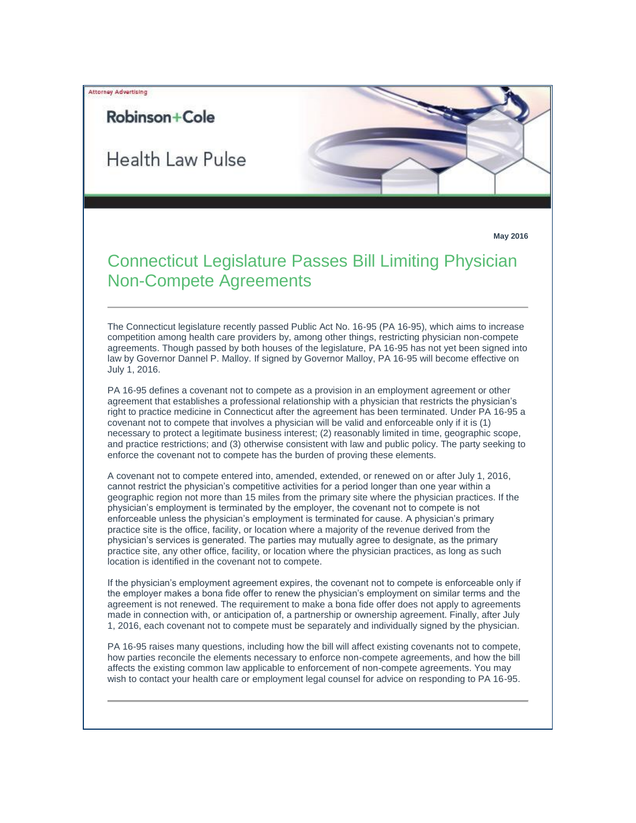Attorney Advertising

## Robinson+Cole

Health Law Pulse



## Connecticut Legislature Passes Bill Limiting Physician Non-Compete Agreements

The Connecticut legislature recently passed Public Act No. 16-95 (PA 16-95), which aims to increase competition among health care providers by, among other things, restricting physician non-compete agreements. Though passed by both houses of the legislature, PA 16-95 has not yet been signed into law by Governor Dannel P. Malloy. If signed by Governor Malloy, PA 16-95 will become effective on July 1, 2016.

PA 16-95 defines a covenant not to compete as a provision in an employment agreement or other agreement that establishes a professional relationship with a physician that restricts the physician's right to practice medicine in Connecticut after the agreement has been terminated. Under PA 16-95 a covenant not to compete that involves a physician will be valid and enforceable only if it is (1) necessary to protect a legitimate business interest; (2) reasonably limited in time, geographic scope, and practice restrictions; and (3) otherwise consistent with law and public policy. The party seeking to enforce the covenant not to compete has the burden of proving these elements.

A covenant not to compete entered into, amended, extended, or renewed on or after July 1, 2016, cannot restrict the physician's competitive activities for a period longer than one year within a geographic region not more than 15 miles from the primary site where the physician practices. If the physician's employment is terminated by the employer, the covenant not to compete is not enforceable unless the physician's employment is terminated for cause. A physician's primary practice site is the office, facility, or location where a majority of the revenue derived from the physician's services is generated. The parties may mutually agree to designate, as the primary practice site, any other office, facility, or location where the physician practices, as long as such location is identified in the covenant not to compete.

If the physician's employment agreement expires, the covenant not to compete is enforceable only if the employer makes a bona fide offer to renew the physician's employment on similar terms and the agreement is not renewed. The requirement to make a bona fide offer does not apply to agreements made in connection with, or anticipation of, a partnership or ownership agreement. Finally, after July 1, 2016, each covenant not to compete must be separately and individually signed by the physician.

PA 16-95 raises many questions, including how the bill will affect existing covenants not to compete, how parties reconcile the elements necessary to enforce non-compete agreements, and how the bill affects the existing common law applicable to enforcement of non-compete agreements. You may wish to contact your health care or employment legal counsel for advice on responding to PA 16-95.